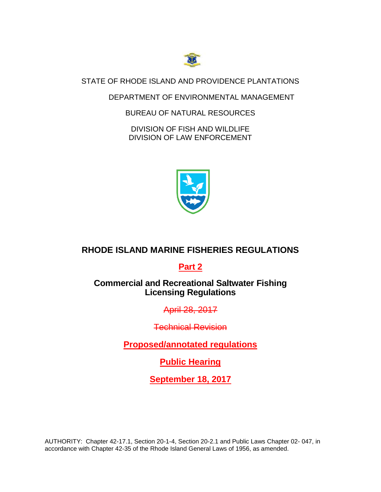

STATE OF RHODE ISLAND AND PROVIDENCE PLANTATIONS

## DEPARTMENT OF ENVIRONMENTAL MANAGEMENT

## BUREAU OF NATURAL RESOURCES

DIVISION OF FISH AND WILDLIFE DIVISION OF LAW ENFORCEMENT



# **RHODE ISLAND MARINE FISHERIES REGULATIONS**

# **Part 2**

# **Commercial and Recreational Saltwater Fishing Licensing Regulations**

April 28, 2017

Technical Revision

**Proposed/annotated regulations**

**Public Hearing**

**September 18, 2017**

AUTHORITY: Chapter 42-17.1, Section 20-1-4, Section 20-2.1 and Public Laws Chapter 02- 047, in accordance with Chapter 42-35 of the Rhode Island General Laws of 1956, as amended.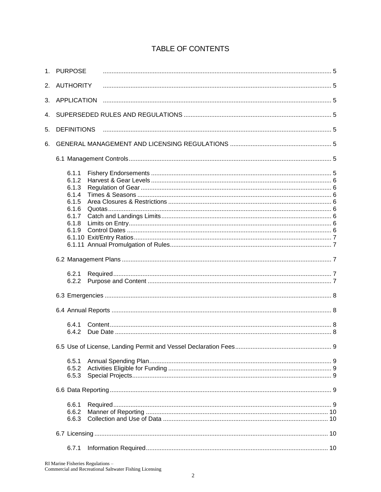|    | 1. PURPOSE                                                                    |  |  |  |  |  |
|----|-------------------------------------------------------------------------------|--|--|--|--|--|
| 2. | <b>AUTHORITY</b>                                                              |  |  |  |  |  |
| 3. | <b>APPLICATION</b>                                                            |  |  |  |  |  |
| 4. |                                                                               |  |  |  |  |  |
| 5. | <b>DEFINITIONS</b>                                                            |  |  |  |  |  |
| 6. |                                                                               |  |  |  |  |  |
|    |                                                                               |  |  |  |  |  |
|    | 6.1.1<br>6.1.2<br>6.1.3<br>6.1.4<br>6.1.5<br>6.1.6<br>6.1.7<br>6.1.8<br>6.1.9 |  |  |  |  |  |
|    |                                                                               |  |  |  |  |  |
|    | 6.2.1<br>6.2.2                                                                |  |  |  |  |  |
|    |                                                                               |  |  |  |  |  |
|    |                                                                               |  |  |  |  |  |
|    | 6.4.1<br>6.4.2                                                                |  |  |  |  |  |
|    |                                                                               |  |  |  |  |  |
|    | 6.5.1<br>6.5.2<br>6.5.3                                                       |  |  |  |  |  |
|    |                                                                               |  |  |  |  |  |
|    | 6.6.1<br>6.6.2<br>6.6.3                                                       |  |  |  |  |  |
|    |                                                                               |  |  |  |  |  |

# **TABLE OF CONTENTS**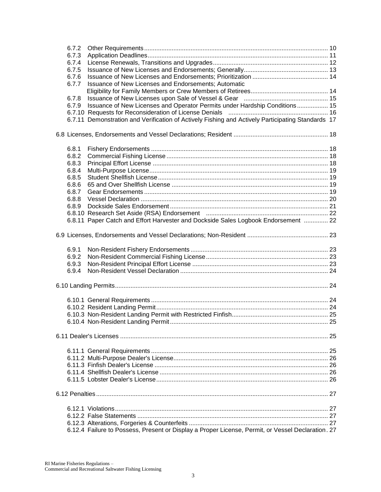| 6.7.2<br>6.7.3                                                |                                                                                                   |  |  |  |
|---------------------------------------------------------------|---------------------------------------------------------------------------------------------------|--|--|--|
| 6.7.4                                                         |                                                                                                   |  |  |  |
| 6.7.5                                                         |                                                                                                   |  |  |  |
| 6.7.6                                                         |                                                                                                   |  |  |  |
| Issuance of New Licenses and Endorsements; Automatic<br>6.7.7 |                                                                                                   |  |  |  |
|                                                               |                                                                                                   |  |  |  |
| 6.7.8                                                         |                                                                                                   |  |  |  |
| 6.7.9                                                         | Issuance of New Licenses and Operator Permits under Hardship Conditions 15                        |  |  |  |
|                                                               |                                                                                                   |  |  |  |
|                                                               | 6.7.11 Demonstration and Verification of Actively Fishing and Actively Participating Standards 17 |  |  |  |
|                                                               |                                                                                                   |  |  |  |
| 6.8.1                                                         |                                                                                                   |  |  |  |
| 6.8.2                                                         |                                                                                                   |  |  |  |
| 6.8.3                                                         |                                                                                                   |  |  |  |
| 6.8.4                                                         |                                                                                                   |  |  |  |
| 6.8.5                                                         |                                                                                                   |  |  |  |
| 6.8.6                                                         |                                                                                                   |  |  |  |
| 6.8.7                                                         |                                                                                                   |  |  |  |
| 6.8.8                                                         |                                                                                                   |  |  |  |
| 6.8.9                                                         |                                                                                                   |  |  |  |
|                                                               |                                                                                                   |  |  |  |
|                                                               | 6.8.11 Paper Catch and Effort Harvester and Dockside Sales Logbook Endorsement  22                |  |  |  |
|                                                               |                                                                                                   |  |  |  |
|                                                               |                                                                                                   |  |  |  |
| 6.9.1                                                         |                                                                                                   |  |  |  |
| 6.9.2                                                         |                                                                                                   |  |  |  |
| 6.9.3                                                         |                                                                                                   |  |  |  |
| 6.9.4                                                         |                                                                                                   |  |  |  |
|                                                               |                                                                                                   |  |  |  |
|                                                               |                                                                                                   |  |  |  |
|                                                               |                                                                                                   |  |  |  |
|                                                               |                                                                                                   |  |  |  |
|                                                               |                                                                                                   |  |  |  |
|                                                               |                                                                                                   |  |  |  |
|                                                               |                                                                                                   |  |  |  |
|                                                               |                                                                                                   |  |  |  |
|                                                               |                                                                                                   |  |  |  |
|                                                               |                                                                                                   |  |  |  |
|                                                               |                                                                                                   |  |  |  |
|                                                               |                                                                                                   |  |  |  |
|                                                               |                                                                                                   |  |  |  |
|                                                               |                                                                                                   |  |  |  |
|                                                               |                                                                                                   |  |  |  |
|                                                               |                                                                                                   |  |  |  |
|                                                               | 6.12.4 Failure to Possess, Present or Display a Proper License, Permit, or Vessel Declaration. 27 |  |  |  |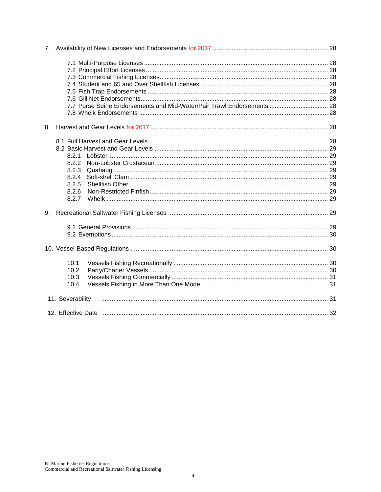|    | 7.7 Purse Seine Endorsements and Mid-Water/Pair Trawl Endorsements  28 |  |  |  |
|----|------------------------------------------------------------------------|--|--|--|
|    |                                                                        |  |  |  |
| 8. |                                                                        |  |  |  |
|    |                                                                        |  |  |  |
|    |                                                                        |  |  |  |
|    | 8.2.1                                                                  |  |  |  |
|    | 8.2.2                                                                  |  |  |  |
|    | 8.2.3                                                                  |  |  |  |
|    | 8.2.4                                                                  |  |  |  |
|    | 8.2.5                                                                  |  |  |  |
|    | 8.2.6                                                                  |  |  |  |
|    | 8.2.7                                                                  |  |  |  |
|    |                                                                        |  |  |  |
|    |                                                                        |  |  |  |
|    |                                                                        |  |  |  |
|    |                                                                        |  |  |  |
|    | 10.1                                                                   |  |  |  |
|    | 10.2                                                                   |  |  |  |
|    | 10.3                                                                   |  |  |  |
|    | 10.4                                                                   |  |  |  |
|    | 11. Severability                                                       |  |  |  |
|    |                                                                        |  |  |  |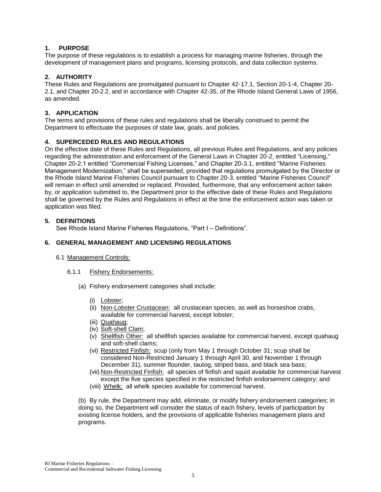## **1. PURPOSE**

The purpose of these regulations is to establish a process for managing marine fisheries, through the development of management plans and programs, licensing protocols, and data collection systems.

## **2. AUTHORITY**

These Rules and Regulations are promulgated pursuant to Chapter 42-17.1, Section 20-1-4, Chapter 20- 2.1, and Chapter 20-2.2, and in accordance with Chapter 42-35, of the Rhode Island General Laws of 1956, as amended.

## **3. APPLICATION**

The terms and provisions of these rules and regulations shall be liberally construed to permit the Department to effectuate the purposes of state law, goals, and policies.

## **4. SUPERCEDED RULES AND REGULATIONS**

On the effective date of these Rules and Regulations, all previous Rules and Regulations, and any policies regarding the administration and enforcement of the General Laws in Chapter 20-2, entitled "Licensing," Chapter 20-2.1 entitled "Commercial Fishing Licenses," and Chapter 20-3.1, entitled "Marine Fisheries Management Modernization," shall be superseded, provided that regulations promulgated by the Director or the Rhode Island Marine Fisheries Council pursuant to Chapter 20-3, entitled "Marine Fisheries Council" will remain in effect until amended or replaced. Provided, furthermore, that any enforcement action taken by, or application submitted to, the Department prior to the effective date of these Rules and Regulations shall be governed by the Rules and Regulations in effect at the time the enforcement action was taken or application was filed.

## **5. DEFINITIONS**

See Rhode Island Marine Fisheries Regulations, "Part I – Definitions".

## **6. GENERAL MANAGEMENT AND LICENSING REGULATIONS**

## 6.1 Management Controls:

## 6.1.1 Fishery Endorsements:

- (a) Fishery endorsement categories shall include:
	- (i) Lobster;
	- (ii) Non-Lobster Crustacean: all crustacean species, as well as horseshoe crabs, available for commercial harvest, except lobster;
	- (iii) Quahaug;
	- (iv) Soft-shell Clam;
	- (v) Shellfish Other: all shellfish species available for commercial harvest, except quahaug and soft-shell clams;
	- (vi) Restricted Finfish: scup (only from May 1 through October 31; scup shall be considered Non-Restricted January 1 through April 30, and November 1 through December 31), summer flounder, tautog, striped bass, and black sea bass;
	- (vii) Non-Restricted Finfish: all species of finfish and squid available for commercial harvest except the five species specified in the restricted finfish endorsement category; and
	- (viii) Whelk: all whelk species available for commercial harvest.

(b) By rule, the Department may add, eliminate, or modify fishery endorsement categories; in doing so, the Department will consider the status of each fishery, levels of participation by existing license holders, and the provisions of applicable fisheries management plans and programs.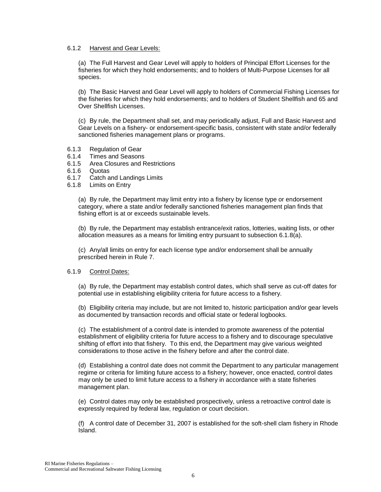#### 6.1.2 Harvest and Gear Levels:

(a) The Full Harvest and Gear Level will apply to holders of Principal Effort Licenses for the fisheries for which they hold endorsements; and to holders of Multi-Purpose Licenses for all species.

(b) The Basic Harvest and Gear Level will apply to holders of Commercial Fishing Licenses for the fisheries for which they hold endorsements; and to holders of Student Shellfish and 65 and Over Shellfish Licenses.

(c) By rule, the Department shall set, and may periodically adjust, Full and Basic Harvest and Gear Levels on a fishery- or endorsement-specific basis, consistent with state and/or federally sanctioned fisheries management plans or programs.

- 6.1.3 Regulation of Gear
- 6.1.4 Times and Seasons
- 6.1.5 Area Closures and Restrictions
- 6.1.6 Quotas
- 6.1.7 Catch and Landings Limits
- 6.1.8 Limits on Entry

(a) By rule, the Department may limit entry into a fishery by license type or endorsement category, where a state and/or federally sanctioned fisheries management plan finds that fishing effort is at or exceeds sustainable levels.

(b) By rule, the Department may establish entrance/exit ratios, lotteries, waiting lists, or other allocation measures as a means for limiting entry pursuant to subsection 6.1.8(a).

(c) Any/all limits on entry for each license type and/or endorsement shall be annually prescribed herein in Rule 7.

## 6.1.9 Control Dates:

(a) By rule, the Department may establish control dates, which shall serve as cut-off dates for potential use in establishing eligibility criteria for future access to a fishery.

(b) Eligibility criteria may include, but are not limited to, historic participation and/or gear levels as documented by transaction records and official state or federal logbooks.

(c) The establishment of a control date is intended to promote awareness of the potential establishment of eligibility criteria for future access to a fishery and to discourage speculative shifting of effort into that fishery. To this end, the Department may give various weighted considerations to those active in the fishery before and after the control date.

(d) Establishing a control date does not commit the Department to any particular management regime or criteria for limiting future access to a fishery; however, once enacted, control dates may only be used to limit future access to a fishery in accordance with a state fisheries management plan.

(e) Control dates may only be established prospectively, unless a retroactive control date is expressly required by federal law, regulation or court decision.

(f) A control date of December 31, 2007 is established for the soft-shell clam fishery in Rhode Island.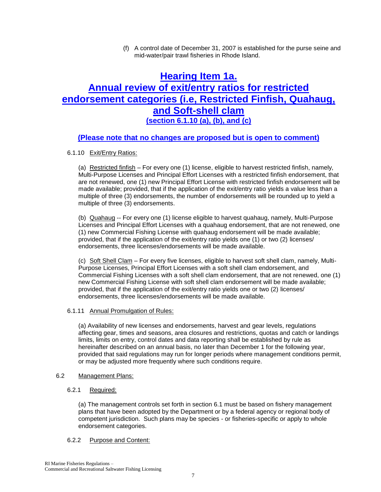(f) A control date of December 31, 2007 is established for the purse seine and mid-water/pair trawl fisheries in Rhode Island.

# **Hearing Item 1a. Annual review of exit/entry ratios for restricted endorsement categories (i.e, Restricted Finfish, Quahaug, and Soft-shell clam (section 6.1.10 (a), (b), and (c)**

## **(Please note that no changes are proposed but is open to comment)**

## 6.1.10 Exit/Entry Ratios:

(a) Restricted finfish – For every one (1) license, eligible to harvest restricted finfish, namely, Multi-Purpose Licenses and Principal Effort Licenses with a restricted finfish endorsement, that are not renewed, one (1) new Principal Effort License with restricted finfish endorsement will be made available; provided, that if the application of the exit/entry ratio yields a value less than a multiple of three (3) endorsements, the number of endorsements will be rounded up to yield a multiple of three (3) endorsements.

(b) Quahaug -- For every one (1) license eligible to harvest quahaug, namely, Multi-Purpose Licenses and Principal Effort Licenses with a quahaug endorsement, that are not renewed, one (1) new Commercial Fishing License with quahaug endorsement will be made available; provided, that if the application of the exit/entry ratio yields one (1) or two (2) licenses/ endorsements, three licenses/endorsements will be made available.

(c) Soft Shell Clam – For every five licenses, eligible to harvest soft shell clam, namely, Multi-Purpose Licenses, Principal Effort Licenses with a soft shell clam endorsement, and Commercial Fishing Licenses with a soft shell clam endorsement, that are not renewed, one (1) new Commercial Fishing License with soft shell clam endorsement will be made available; provided, that if the application of the exit/entry ratio yields one or two (2) licenses/ endorsements, three licenses/endorsements will be made available.

## 6.1.11 Annual Promulgation of Rules:

(a) Availability of new licenses and endorsements, harvest and gear levels, regulations affecting gear, times and seasons, area closures and restrictions, quotas and catch or landings limits, limits on entry, control dates and data reporting shall be established by rule as hereinafter described on an annual basis, no later than December 1 for the following year, provided that said regulations may run for longer periods where management conditions permit, or may be adjusted more frequently where such conditions require.

## 6.2 Management Plans:

## 6.2.1 Required:

(a) The management controls set forth in section 6.1 must be based on fishery management plans that have been adopted by the Department or by a federal agency or regional body of competent jurisdiction. Such plans may be species - or fisheries-specific or apply to whole endorsement categories.

## 6.2.2 Purpose and Content: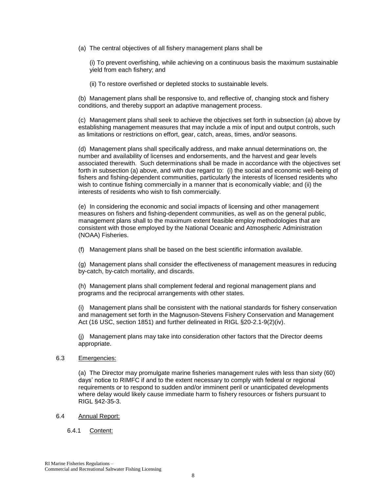(a) The central objectives of all fishery management plans shall be

(i) To prevent overfishing, while achieving on a continuous basis the maximum sustainable yield from each fishery; and

(ii) To restore overfished or depleted stocks to sustainable levels.

(b) Management plans shall be responsive to, and reflective of, changing stock and fishery conditions, and thereby support an adaptive management process.

(c) Management plans shall seek to achieve the objectives set forth in subsection (a) above by establishing management measures that may include a mix of input and output controls, such as limitations or restrictions on effort, gear, catch, areas, times, and/or seasons.

(d) Management plans shall specifically address, and make annual determinations on, the number and availability of licenses and endorsements, and the harvest and gear levels associated therewith. Such determinations shall be made in accordance with the objectives set forth in subsection (a) above, and with due regard to: (i) the social and economic well-being of fishers and fishing-dependent communities, particularly the interests of licensed residents who wish to continue fishing commercially in a manner that is economically viable; and (ii) the interests of residents who wish to fish commercially.

(e) In considering the economic and social impacts of licensing and other management measures on fishers and fishing-dependent communities, as well as on the general public, management plans shall to the maximum extent feasible employ methodologies that are consistent with those employed by the National Oceanic and Atmospheric Administration (NOAA) Fisheries.

(f) Management plans shall be based on the best scientific information available.

(g) Management plans shall consider the effectiveness of management measures in reducing by-catch, by-catch mortality, and discards.

(h) Management plans shall complement federal and regional management plans and programs and the reciprocal arrangements with other states.

(i) Management plans shall be consistent with the national standards for fishery conservation and management set forth in the Magnuson-Stevens Fishery Conservation and Management Act (16 USC, section 1851) and further delineated in RIGL §20-2.1-9(2)(iv).

(j) Management plans may take into consideration other factors that the Director deems appropriate.

## 6.3 Emergencies:

(a) The Director may promulgate marine fisheries management rules with less than sixty (60) days' notice to RIMFC if and to the extent necessary to comply with federal or regional requirements or to respond to sudden and/or imminent peril or unanticipated developments where delay would likely cause immediate harm to fishery resources or fishers pursuant to RIGL §42-35-3.

## 6.4 Annual Report:

## 6.4.1 Content: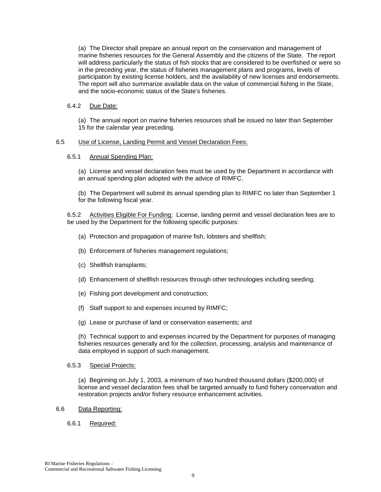(a) The Director shall prepare an annual report on the conservation and management of marine fisheries resources for the General Assembly and the citizens of the State. The report will address particularly the status of fish stocks that are considered to be overfished or were so in the preceding year, the status of fisheries management plans and programs, levels of participation by existing license holders, and the availability of new licenses and endorsements. The report will also summarize available data on the value of commercial fishing in the State, and the socio-economic status of the State's fisheries.

## 6.4.2 Due Date:

(a) The annual report on marine fisheries resources shall be issued no later than September 15 for the calendar year preceding.

## 6.5 Use of License, Landing Permit and Vessel Declaration Fees:

## 6.5.1 Annual Spending Plan:

(a) License and vessel declaration fees must be used by the Department in accordance with an annual spending plan adopted with the advice of RIMFC.

(b) The Department will submit its annual spending plan to RIMFC no later than September 1 for the following fiscal year.

6.5.2 Activities Eligible For Funding: License, landing permit and vessel declaration fees are to be used by the Department for the following specific purposes:

- (a) Protection and propagation of marine fish, lobsters and shellfish;
- (b) Enforcement of fisheries management regulations;
- (c) Shellfish transplants;
- (d) Enhancement of shellfish resources through other technologies including seeding;
- (e) Fishing port development and construction;
- (f) Staff support to and expenses incurred by RIMFC;
- (g) Lease or purchase of land or conservation easements; and

(h) Technical support to and expenses incurred by the Department for purposes of managing fisheries resources generally and for the collection, processing, analysis and maintenance of data employed in support of such management.

## 6.5.3 Special Projects:

(a) Beginning on July 1, 2003, a minimum of two hundred thousand dollars (\$200,000) of license and vessel declaration fees shall be targeted annually to fund fishery conservation and restoration projects and/or fishery resource enhancement activities.

## 6.6 Data Reporting:

## 6.6.1 Required: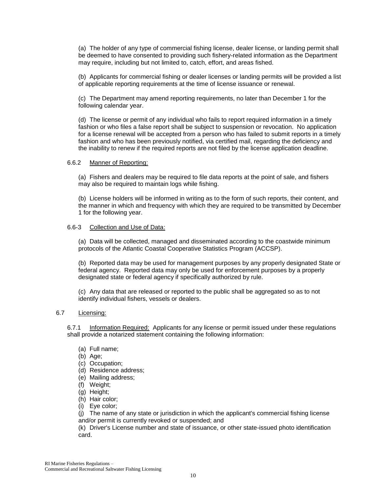(a) The holder of any type of commercial fishing license, dealer license, or landing permit shall be deemed to have consented to providing such fishery-related information as the Department may require, including but not limited to, catch, effort, and areas fished.

(b) Applicants for commercial fishing or dealer licenses or landing permits will be provided a list of applicable reporting requirements at the time of license issuance or renewal.

(c) The Department may amend reporting requirements, no later than December 1 for the following calendar year.

(d) The license or permit of any individual who fails to report required information in a timely fashion or who files a false report shall be subject to suspension or revocation. No application for a license renewal will be accepted from a person who has failed to submit reports in a timely fashion and who has been previously notified, via certified mail, regarding the deficiency and the inability to renew if the required reports are not filed by the license application deadline.

#### 6.6.2 Manner of Reporting:

(a) Fishers and dealers may be required to file data reports at the point of sale, and fishers may also be required to maintain logs while fishing.

(b) License holders will be informed in writing as to the form of such reports, their content, and the manner in which and frequency with which they are required to be transmitted by December 1 for the following year.

#### 6.6-3 Collection and Use of Data:

(a) Data will be collected, managed and disseminated according to the coastwide minimum protocols of the Atlantic Coastal Cooperative Statistics Program (ACCSP).

(b) Reported data may be used for management purposes by any properly designated State or federal agency. Reported data may only be used for enforcement purposes by a properly designated state or federal agency if specifically authorized by rule.

(c) Any data that are released or reported to the public shall be aggregated so as to not identify individual fishers, vessels or dealers.

## 6.7 Licensing:

6.7.1 Information Required: Applicants for any license or permit issued under these regulations shall provide a notarized statement containing the following information:

- (a) Full name;
- (b) Age;
- (c) Occupation;
- (d) Residence address;
- (e) Mailing address;
- (f) Weight;
- (g) Height;
- (h) Hair color;
- (i) Eye color;

(j) The name of any state or jurisdiction in which the applicant's commercial fishing license and/or permit is currently revoked or suspended; and

(k) Driver's License number and state of issuance, or other state-issued photo identification card.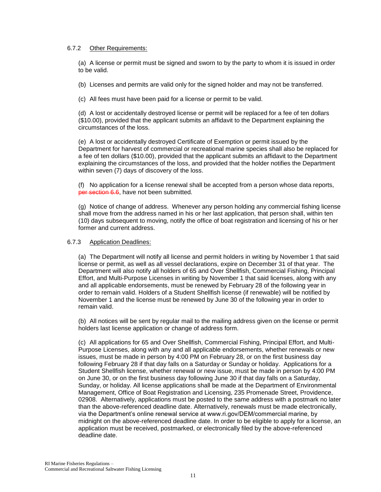## 6.7.2 Other Requirements:

(a) A license or permit must be signed and sworn to by the party to whom it is issued in order to be valid.

(b) Licenses and permits are valid only for the signed holder and may not be transferred.

(c) All fees must have been paid for a license or permit to be valid.

(d) A lost or accidentally destroyed license or permit will be replaced for a fee of ten dollars (\$10.00), provided that the applicant submits an affidavit to the Department explaining the circumstances of the loss.

(e) A lost or accidentally destroyed Certificate of Exemption or permit issued by the Department for harvest of commercial or recreational marine species shall also be replaced for a fee of ten dollars (\$10.00), provided that the applicant submits an affidavit to the Department explaining the circumstances of the loss, and provided that the holder notifies the Department within seven (7) days of discovery of the loss.

(f) No application for a license renewal shall be accepted from a person whose data reports, per section 6.6, have not been submitted.

(g) Notice of change of address. Whenever any person holding any commercial fishing license shall move from the address named in his or her last application, that person shall, within ten (10) days subsequent to moving, notify the office of boat registration and licensing of his or her former and current address.

## 6.7.3 Application Deadlines:

(a) The Department will notify all license and permit holders in writing by November 1 that said license or permit, as well as all vessel declarations, expire on December 31 of that year. The Department will also notify all holders of 65 and Over Shellfish, Commercial Fishing, Principal Effort, and Multi-Purpose Licenses in writing by November 1 that said licenses, along with any and all applicable endorsements, must be renewed by February 28 of the following year in order to remain valid. Holders of a Student Shellfish license (if renewable) will be notified by November 1 and the license must be renewed by June 30 of the following year in order to remain valid.

(b) All notices will be sent by regular mail to the mailing address given on the license or permit holders last license application or change of address form.

(c) All applications for 65 and Over Shellfish, Commercial Fishing, Principal Effort, and Multi-Purpose Licenses, along with any and all applicable endorsements, whether renewals or new issues, must be made in person by 4:00 PM on February 28, or on the first business day following February 28 if that day falls on a Saturday or Sunday or holiday. Applications for a Student Shellfish license, whether renewal or new issue, must be made in person by 4:00 PM on June 30, or on the first business day following June 30 if that day falls on a Saturday, Sunday, or holiday. All license applications shall be made at the Department of Environmental Management, Office of Boat Registration and Licensing, 235 Promenade Street, Providence, 02908. Alternatively, applications must be posted to the same address with a postmark no later than the above-referenced deadline date. Alternatively, renewals must be made electronically, via the Department's online renewal service at www.ri.gov/DEM/commercial marine, by midnight on the above-referenced deadline date. In order to be eligible to apply for a license, an application must be received, postmarked, or electronically filed by the above-referenced deadline date.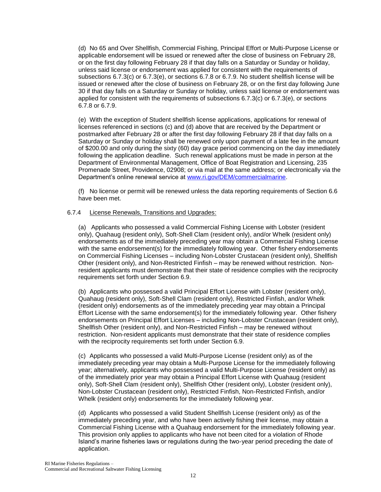(d) No 65 and Over Shellfish, Commercial Fishing, Principal Effort or Multi-Purpose License or applicable endorsement will be issued or renewed after the close of business on February 28, or on the first day following February 28 if that day falls on a Saturday or Sunday or holiday, unless said license or endorsement was applied for consistent with the requirements of subsections 6.7.3(c) or 6.7.3(e), or sections 6.7.8 or 6.7.9. No student shellfish license will be issued or renewed after the close of business on February 28, or on the first day following June 30 if that day falls on a Saturday or Sunday or holiday, unless said license or endorsement was applied for consistent with the requirements of subsections 6.7.3(c) or 6.7.3(e), or sections 6.7.8 or 6.7.9.

(e) With the exception of Student shellfish license applications, applications for renewal of licenses referenced in sections (c) and (d) above that are received by the Department or postmarked after February 28 or after the first day following February 28 if that day falls on a Saturday or Sunday or holiday shall be renewed only upon payment of a late fee in the amount of \$200.00 and only during the sixty (60) day grace period commencing on the day immediately following the application deadline. Such renewal applications must be made in person at the Department of Environmental Management, Office of Boat Registration and Licensing, 235 Promenade Street, Providence, 02908; or via mail at the same address; or electronically via the Department's online renewal service at [www.ri.gov/DEM/commercialmarine.](http://www.ri.gov/DEM/commercialmarine)

(f) No license or permit will be renewed unless the data reporting requirements of Section 6.6 have been met.

## 6.7.4 License Renewals, Transitions and Upgrades:

(a) Applicants who possessed a valid Commercial Fishing License with Lobster (resident only), Quahaug (resident only), Soft-Shell Clam (resident only), and/or Whelk (resident only) endorsements as of the immediately preceding year may obtain a Commercial Fishing License with the same endorsement(s) for the immediately following year. Other fishery endorsements on Commercial Fishing Licenses – including Non-Lobster Crustacean (resident only), Shellfish Other (resident only), and Non-Restricted Finfish – may be renewed without restriction. Nonresident applicants must demonstrate that their state of residence complies with the reciprocity requirements set forth under Section 6.9.

(b) Applicants who possessed a valid Principal Effort License with Lobster (resident only), Quahaug (resident only), Soft-Shell Clam (resident only), Restricted Finfish, and/or Whelk (resident only) endorsements as of the immediately preceding year may obtain a Principal Effort License with the same endorsement(s) for the immediately following year. Other fishery endorsements on Principal Effort Licenses – including Non-Lobster Crustacean (resident only), Shellfish Other (resident only), and Non-Restricted Finfish – may be renewed without restriction. Non-resident applicants must demonstrate that their state of residence complies with the reciprocity requirements set forth under Section 6.9.

(c) Applicants who possessed a valid Multi-Purpose License (resident only) as of the immediately preceding year may obtain a Multi-Purpose License for the immediately following year; alternatively, applicants who possessed a valid Multi-Purpose License (resident only) as of the immediately prior year may obtain a Principal Effort License with Quahaug (resident only), Soft-Shell Clam (resident only), Shellfish Other (resident only), Lobster (resident only), Non-Lobster Crustacean (resident only), Restricted Finfish, Non-Restricted Finfish, and/or Whelk (resident only) endorsements for the immediately following year.

(d) Applicants who possessed a valid Student Shellfish License (resident only) as of the immediately preceding year, and who have been actively fishing their license, may obtain a Commercial Fishing License with a Quahaug endorsement for the immediately following year. This provision only applies to applicants who have not been cited for a violation of Rhode Island's marine fisheries laws or regulations during the two-year period preceding the date of application.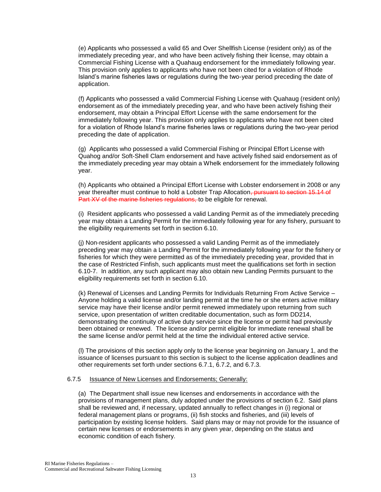(e) Applicants who possessed a valid 65 and Over Shellfish License (resident only) as of the immediately preceding year, and who have been actively fishing their license, may obtain a Commercial Fishing License with a Quahaug endorsement for the immediately following year. This provision only applies to applicants who have not been cited for a violation of Rhode Island's marine fisheries laws or regulations during the two-year period preceding the date of application.

(f) Applicants who possessed a valid Commercial Fishing License with Quahaug (resident only) endorsement as of the immediately preceding year, and who have been actively fishing their endorsement, may obtain a Principal Effort License with the same endorsement for the immediately following year. This provision only applies to applicants who have not been cited for a violation of Rhode Island's marine fisheries laws or regulations during the two-year period preceding the date of application.

(g) Applicants who possessed a valid Commercial Fishing or Principal Effort License with Quahog and/or Soft-Shell Clam endorsement and have actively fished said endorsement as of the immediately preceding year may obtain a Whelk endorsement for the immediately following year.

(h) Applicants who obtained a Principal Effort License with Lobster endorsement in 2008 or any year thereafter must continue to hold a Lobster Trap Allocation, pursuant to section 15.14 of Part XV of the marine fisheries regulations, to be eligible for renewal.

(i) Resident applicants who possessed a valid Landing Permit as of the immediately preceding year may obtain a Landing Permit for the immediately following year for any fishery, pursuant to the eligibility requirements set forth in section 6.10.

(j) Non-resident applicants who possessed a valid Landing Permit as of the immediately preceding year may obtain a Landing Permit for the immediately following year for the fishery or fisheries for which they were permitted as of the immediately preceding year, provided that in the case of Restricted Finfish, such applicants must meet the qualifications set forth in section 6.10-7. In addition, any such applicant may also obtain new Landing Permits pursuant to the eligibility requirements set forth in section 6.10.

(k) Renewal of Licenses and Landing Permits for Individuals Returning From Active Service – Anyone holding a valid license and/or landing permit at the time he or she enters active military service may have their license and/or permit renewed immediately upon returning from such service, upon presentation of written creditable documentation, such as form DD214, demonstrating the continuity of active duty service since the license or permit had previously been obtained or renewed. The license and/or permit eligible for immediate renewal shall be the same license and/or permit held at the time the individual entered active service.

(l) The provisions of this section apply only to the license year beginning on January 1, and the issuance of licenses pursuant to this section is subject to the license application deadlines and other requirements set forth under sections 6.7.1, 6.7.2, and 6.7.3.

## 6.7.5 Issuance of New Licenses and Endorsements; Generally:

(a) The Department shall issue new licenses and endorsements in accordance with the provisions of management plans, duly adopted under the provisions of section 6.2. Said plans shall be reviewed and, if necessary, updated annually to reflect changes in (i) regional or federal management plans or programs, (ii) fish stocks and fisheries, and (iii) levels of participation by existing license holders. Said plans may or may not provide for the issuance of certain new licenses or endorsements in any given year, depending on the status and economic condition of each fishery.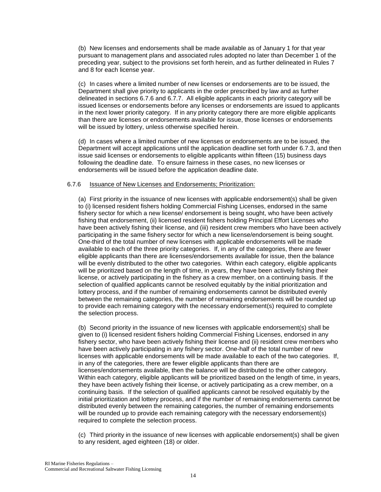(b) New licenses and endorsements shall be made available as of January 1 for that year pursuant to management plans and associated rules adopted no later than December 1 of the preceding year, subject to the provisions set forth herein, and as further delineated in Rules 7 and 8 for each license year.

(c) In cases where a limited number of new licenses or endorsements are to be issued, the Department shall give priority to applicants in the order prescribed by law and as further delineated in sections 6.7.6 and 6.7.7. All eligible applicants in each priority category will be issued licenses or endorsements before any licenses or endorsements are issued to applicants in the next lower priority category. If in any priority category there are more eligible applicants than there are licenses or endorsements available for issue, those licenses or endorsements will be issued by lottery, unless otherwise specified herein.

(d) In cases where a limited number of new licenses or endorsements are to be issued, the Department will accept applications until the application deadline set forth under 6.7.3, and then issue said licenses or endorsements to eligible applicants within fifteen (15) business days following the deadline date. To ensure fairness in these cases, no new licenses or endorsements will be issued before the application deadline date.

#### 6.7.6 Issuance of New Licenses and Endorsements; Prioritization:

(a) First priority in the issuance of new licenses with applicable endorsement(s) shall be given to (i) licensed resident fishers holding Commercial Fishing Licenses, endorsed in the same fishery sector for which a new license/ endorsement is being sought, who have been actively fishing that endorsement, (ii) licensed resident fishers holding Principal Effort Licenses who have been actively fishing their license, and (iii) resident crew members who have been actively participating in the same fishery sector for which a new license/endorsement is being sought. One-third of the total number of new licenses with applicable endorsements will be made available to each of the three priority categories. If, in any of the categories, there are fewer eligible applicants than there are licenses/endorsements available for issue, then the balance will be evenly distributed to the other two categories. Within each category, eligible applicants will be prioritized based on the length of time, in years, they have been actively fishing their license, or actively participating in the fishery as a crew member, on a continuing basis. If the selection of qualified applicants cannot be resolved equitably by the initial prioritization and lottery process, and if the number of remaining endorsements cannot be distributed evenly between the remaining categories, the number of remaining endorsements will be rounded up to provide each remaining category with the necessary endorsement(s) required to complete the selection process.

(b) Second priority in the issuance of new licenses with applicable endorsement(s) shall be given to (i) licensed resident fishers holding Commercial Fishing Licenses, endorsed in any fishery sector, who have been actively fishing their license and (ii) resident crew members who have been actively participating in any fishery sector. One-half of the total number of new licenses with applicable endorsements will be made available to each of the two categories. If, in any of the categories, there are fewer eligible applicants than there are licenses/endorsements available, then the balance will be distributed to the other category. Within each category, eligible applicants will be prioritized based on the length of time, in years, they have been actively fishing their license, or actively participating as a crew member, on a continuing basis. If the selection of qualified applicants cannot be resolved equitably by the initial prioritization and lottery process, and if the number of remaining endorsements cannot be distributed evenly between the remaining categories, the number of remaining endorsements will be rounded up to provide each remaining category with the necessary endorsement(s) required to complete the selection process.

(c) Third priority in the issuance of new licenses with applicable endorsement(s) shall be given to any resident, aged eighteen (18) or older.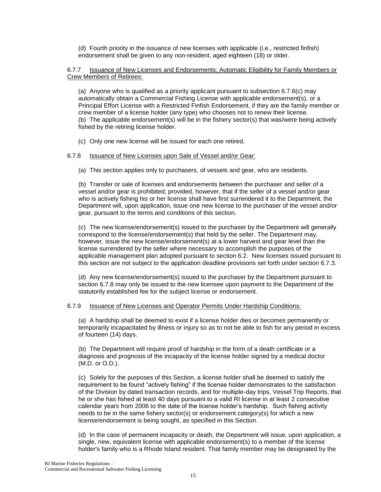(d) Fourth priority in the issuance of new licenses with applicable (i.e., restricted finfish) endorsement shall be given to any non-resident, aged eighteen (18) or older.

## 6.7.7 Issuance of New Licenses and Endorsements; Automatic Eligibility for Family Members or Crew Members of Retirees:

(a) Anyone who is qualified as a priority applicant pursuant to subsection 6.7.6(c) may automatically obtain a Commercial Fishing License with applicable endorsement(s), or a Principal Effort License with a Restricted Finfish Endorsement, if they are the family member or crew member of a license holder (any type) who chooses not to renew their license. (b) The applicable endorsement(s) will be in the fishery sector(s) that was/were being actively fished by the retiring license holder.

(c) Only one new license will be issued for each one retired.

## 6.7.8 Issuance of New Licenses upon Sale of Vessel and/or Gear:

(a) This section applies only to purchasers, of vessels and gear, who are residents.

(b) Transfer or sale of licenses and endorsements between the purchaser and seller of a vessel and/or gear is prohibited; provided, however, that if the seller of a vessel and/or gear who is actively fishing his or her license shall have first surrendered it to the Department, the Department will, upon application, issue one new license to the purchaser of the vessel and/or gear, pursuant to the terms and conditions of this section.

(c) The new license/endorsement(s) issued to the purchaser by the Department will generally correspond to the license/endorsement(s) that held by the seller. The Department may, however, issue the new license/endorsement(s) at a lower harvest and gear level than the license surrendered by the seller where necessary to accomplish the purposes of the applicable management plan adopted pursuant to section 6.2. New licenses issued pursuant to this section are not subject to the application deadline provisions set forth under section 6.7.3.

(d) Any new license/endorsement(s) issued to the purchaser by the Department pursuant to section 6.7.8 may only be issued to the new licensee upon payment to the Department of the statutorily established fee for the subject license or endorsement.

## 6.7.9 Issuance of New Licenses and Operator Permits Under Hardship Conditions:

(a) A hardship shall be deemed to exist if a license holder dies or becomes permanently or temporarily incapacitated by illness or injury so as to not be able to fish for any period in excess of fourteen (14) days.

(b) The Department will require proof of hardship in the form of a death certificate or a diagnosis and prognosis of the incapacity of the license holder signed by a medical doctor (M.D. or O.D.).

(c) Solely for the purposes of this Section, a license holder shall be deemed to satisfy the requirement to be found "actively fishing" if the license holder demonstrates to the satisfaction of the Division by dated transaction records, and for multiple-day trips, Vessel Trip Reports, that he or she has fished at least 40 days pursuant to a valid RI license in at least 2 consecutive calendar years from 2006 to the date of the license holder's hardship. Such fishing activity needs to be in the same fishery sector(s) or endorsement category(s) for which a new license/endorsement is being sought, as specified in this Section.

(d) In the case of permanent incapacity or death, the Department will issue, upon application, a single, new, equivalent license with applicable endorsement(s) to a member of the license holder's family who is a Rhode Island resident. That family member may be designated by the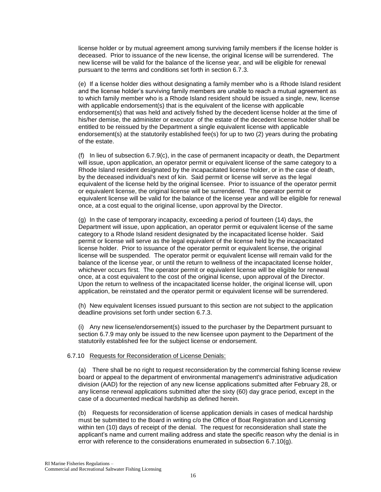license holder or by mutual agreement among surviving family members if the license holder is deceased. Prior to issuance of the new license, the original license will be surrendered. The new license will be valid for the balance of the license year, and will be eligible for renewal pursuant to the terms and conditions set forth in section 6.7.3.

(e) If a license holder dies without designating a family member who is a Rhode Island resident and the license holder's surviving family members are unable to reach a mutual agreement as to which family member who is a Rhode Island resident should be issued a single, new, license with applicable endorsement(s) that is the equivalent of the license with applicable endorsement(s) that was held and actively fished by the decedent license holder at the time of his/her demise, the administer or executor of the estate of the decedent license holder shall be entitled to be reissued by the Department a single equivalent license with applicable endorsement(s) at the statutorily established fee(s) for up to two (2) years during the probating of the estate.

(f) In lieu of subsection  $6.7.9(c)$ , in the case of permanent incapacity or death, the Department will issue, upon application, an operator permit or equivalent license of the same category to a Rhode Island resident designated by the incapacitated license holder, or in the case of death, by the deceased individual's next of kin. Said permit or license will serve as the legal equivalent of the license held by the original licensee. Prior to issuance of the operator permit or equivalent license, the original license will be surrendered. The operator permit or equivalent license will be valid for the balance of the license year and will be eligible for renewal once, at a cost equal to the original license, upon approval by the Director.

(g) In the case of temporary incapacity, exceeding a period of fourteen (14) days, the Department will issue, upon application, an operator permit or equivalent license of the same category to a Rhode Island resident designated by the incapacitated license holder. Said permit or license will serve as the legal equivalent of the license held by the incapacitated license holder. Prior to issuance of the operator permit or equivalent license, the original license will be suspended. The operator permit or equivalent license will remain valid for the balance of the license year, or until the return to wellness of the incapacitated license holder, whichever occurs first. The operator permit or equivalent license will be eligible for renewal once, at a cost equivalent to the cost of the original license, upon approval of the Director. Upon the return to wellness of the incapacitated license holder, the original license will, upon application, be reinstated and the operator permit or equivalent license will be surrendered.

(h) New equivalent licenses issued pursuant to this section are not subject to the application deadline provisions set forth under section 6.7.3.

(i) Any new license/endorsement(s) issued to the purchaser by the Department pursuant to section 6.7.9 may only be issued to the new licensee upon payment to the Department of the statutorily established fee for the subject license or endorsement.

## 6.7.10 Requests for Reconsideration of License Denials:

(a) There shall be no right to request reconsideration by the commercial fishing license review board or appeal to the department of environmental management's administrative adjudication division (AAD) for the rejection of any new license applications submitted after February 28, or any license renewal applications submitted after the sixty (60) day grace period, except in the case of a documented medical hardship as defined herein.

(b) Requests for reconsideration of license application denials in cases of medical hardship must be submitted to the Board in writing c/o the Office of Boat Registration and Licensing within ten (10) days of receipt of the denial. The request for reconsideration shall state the applicant's name and current mailing address and state the specific reason why the denial is in error with reference to the considerations enumerated in subsection 6.7.10(g).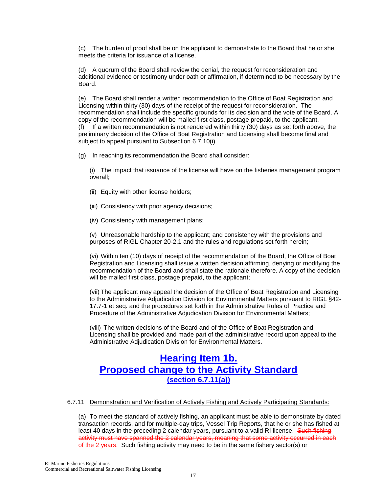(c) The burden of proof shall be on the applicant to demonstrate to the Board that he or she meets the criteria for issuance of a license.

(d) A quorum of the Board shall review the denial, the request for reconsideration and additional evidence or testimony under oath or affirmation, if determined to be necessary by the Board.

(e) The Board shall render a written recommendation to the Office of Boat Registration and Licensing within thirty (30) days of the receipt of the request for reconsideration. The recommendation shall include the specific grounds for its decision and the vote of the Board. A copy of the recommendation will be mailed first class, postage prepaid, to the applicant. (f) If a written recommendation is not rendered within thirty (30) days as set forth above, the preliminary decision of the Office of Boat Registration and Licensing shall become final and subject to appeal pursuant to Subsection 6.7.10(i).

(g) In reaching its recommendation the Board shall consider:

(i) The impact that issuance of the license will have on the fisheries management program overall;

- (ii) Equity with other license holders;
- (iii) Consistency with prior agency decisions;
- (iv) Consistency with management plans;

(v) Unreasonable hardship to the applicant; and consistency with the provisions and purposes of RIGL Chapter 20-2.1 and the rules and regulations set forth herein;

(vi) Within ten (10) days of receipt of the recommendation of the Board, the Office of Boat Registration and Licensing shall issue a written decision affirming, denying or modifying the recommendation of the Board and shall state the rationale therefore. A copy of the decision will be mailed first class, postage prepaid, to the applicant;

(vii) The applicant may appeal the decision of the Office of Boat Registration and Licensing to the Administrative Adjudication Division for Environmental Matters pursuant to RIGL §42- 17.7-1 et seq. and the procedures set forth in the Administrative Rules of Practice and Procedure of the Administrative Adjudication Division for Environmental Matters;

(viii) The written decisions of the Board and of the Office of Boat Registration and Licensing shall be provided and made part of the administrative record upon appeal to the Administrative Adjudication Division for Environmental Matters.

# **Hearing Item 1b. Proposed change to the Activity Standard (section 6.7.11(a))**

#### 6.7.11 Demonstration and Verification of Actively Fishing and Actively Participating Standards:

(a) To meet the standard of actively fishing, an applicant must be able to demonstrate by dated transaction records, and for multiple-day trips, Vessel Trip Reports, that he or she has fished at least 40 days in the preceding 2 calendar years, pursuant to a valid RI license. Such fishing activity must have spanned the 2 calendar years, meaning that some activity occurred in each of the 2 years. Such fishing activity may need to be in the same fishery sector(s) or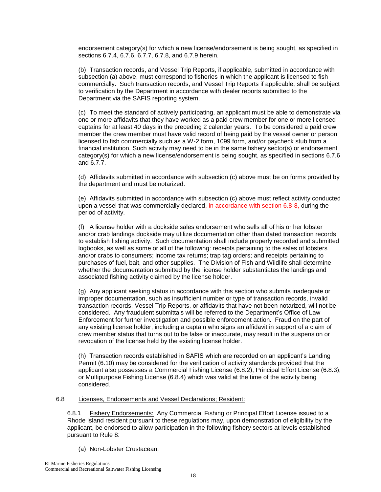endorsement category(s) for which a new license/endorsement is being sought, as specified in sections 6.7.4, 6.7.6, 6.7.7, 6.7.8, and 6.7.9 herein.

(b) Transaction records, and Vessel Trip Reports, if applicable, submitted in accordance with subsection (a) above, must correspond to fisheries in which the applicant is licensed to fish commercially. Such transaction records, and Vessel Trip Reports if applicable, shall be subject to verification by the Department in accordance with dealer reports submitted to the Department via the SAFIS reporting system.

(c) To meet the standard of actively participating, an applicant must be able to demonstrate via one or more affidavits that they have worked as a paid crew member for one or more licensed captains for at least 40 days in the preceding 2 calendar years. To be considered a paid crew member the crew member must have valid record of being paid by the vessel owner or person licensed to fish commercially such as a W-2 form, 1099 form, and/or paycheck stub from a financial institution. Such activity may need to be in the same fishery sector(s) or endorsement category(s) for which a new license/endorsement is being sought, as specified in sections 6.7.6 and 6.7.7.

(d) Affidavits submitted in accordance with subsection (c) above must be on forms provided by the department and must be notarized.

(e) Affidavits submitted in accordance with subsection (c) above must reflect activity conducted upon a vessel that was commercially declared, in accordance with section 6.8-8, during the period of activity.

(f) A license holder with a dockside sales endorsement who sells all of his or her lobster and/or crab landings dockside may utilize documentation other than dated transaction records to establish fishing activity. Such documentation shall include properly recorded and submitted logbooks, as well as some or all of the following: receipts pertaining to the sales of lobsters and/or crabs to consumers; income tax returns; trap tag orders; and receipts pertaining to purchases of fuel, bait, and other supplies. The Division of Fish and Wildlife shall determine whether the documentation submitted by the license holder substantiates the landings and associated fishing activity claimed by the license holder.

(g) Any applicant seeking status in accordance with this section who submits inadequate or improper documentation, such as insufficient number or type of transaction records, invalid transaction records, Vessel Trip Reports, or affidavits that have not been notarized, will not be considered. Any fraudulent submittals will be referred to the Department's Office of Law Enforcement for further investigation and possible enforcement action. Fraud on the part of any existing license holder, including a captain who signs an affidavit in support of a claim of crew member status that turns out to be false or inaccurate, may result in the suspension or revocation of the license held by the existing license holder.

(h) Transaction records established in SAFIS which are recorded on an applicant's Landing Permit (6.10) may be considered for the verification of activity standards provided that the applicant also possesses a Commercial Fishing License (6.8.2), Principal Effort License (6.8.3), or Multipurpose Fishing License (6.8.4) which was valid at the time of the activity being considered.

## 6.8 Licenses, Endorsements and Vessel Declarations; Resident:

6.8.1 Fishery Endorsements: Any Commercial Fishing or Principal Effort License issued to a Rhode Island resident pursuant to these regulations may, upon demonstration of eligibility by the applicant, be endorsed to allow participation in the following fishery sectors at levels established pursuant to Rule 8:

(a) Non-Lobster Crustacean;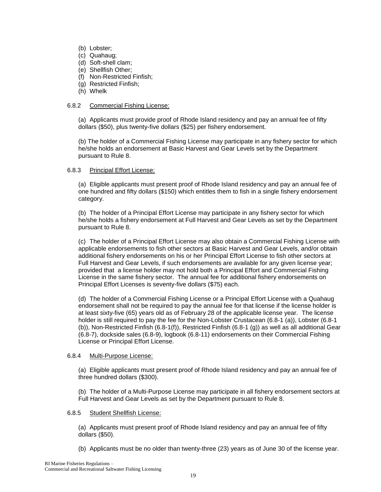- (b) Lobster;
- (c) Quahaug;
- (d) Soft-shell clam;
- (e) Shellfish Other;
- (f) Non-Restricted Finfish;
- (g) Restricted Finfish;
- (h) Whelk

## 6.8.2 Commercial Fishing License:

(a) Applicants must provide proof of Rhode Island residency and pay an annual fee of fifty dollars (\$50), plus twenty-five dollars (\$25) per fishery endorsement.

(b) The holder of a Commercial Fishing License may participate in any fishery sector for which he/she holds an endorsement at Basic Harvest and Gear Levels set by the Department pursuant to Rule 8.

## 6.8.3 Principal Effort License:

(a) Eligible applicants must present proof of Rhode Island residency and pay an annual fee of one hundred and fifty dollars (\$150) which entitles them to fish in a single fishery endorsement category.

(b) The holder of a Principal Effort License may participate in any fishery sector for which he/she holds a fishery endorsement at Full Harvest and Gear Levels as set by the Department pursuant to Rule 8.

(c) The holder of a Principal Effort License may also obtain a Commercial Fishing License with applicable endorsements to fish other sectors at Basic Harvest and Gear Levels, and/or obtain additional fishery endorsements on his or her Principal Effort License to fish other sectors at Full Harvest and Gear Levels, if such endorsements are available for any given license year; provided that a license holder may not hold both a Principal Effort and Commercial Fishing License in the same fishery sector. The annual fee for additional fishery endorsements on Principal Effort Licenses is seventy-five dollars (\$75) each.

(d) The holder of a Commercial Fishing License or a Principal Effort License with a Quahaug endorsement shall not be required to pay the annual fee for that license if the license holder is at least sixty-five (65) years old as of February 28 of the applicable license year. The license holder is still required to pay the fee for the Non-Lobster Crustacean (6.8-1 (a)), Lobster (6.8-1 (b)), Non-Restricted Finfish (6.8-1(f)), Restricted Finfish (6.8-1 (g)) as well as all additional Gear (6.8-7), dockside sales (6.8-9), logbook (6.8-11) endorsements on their Commercial Fishing License or Principal Effort License.

## 6.8.4 Multi-Purpose License:

(a) Eligible applicants must present proof of Rhode Island residency and pay an annual fee of three hundred dollars (\$300).

(b) The holder of a Multi-Purpose License may participate in all fishery endorsement sectors at Full Harvest and Gear Levels as set by the Department pursuant to Rule 8.

## 6.8.5 Student Shellfish License:

(a) Applicants must present proof of Rhode Island residency and pay an annual fee of fifty dollars (\$50).

(b) Applicants must be no older than twenty-three (23) years as of June 30 of the license year.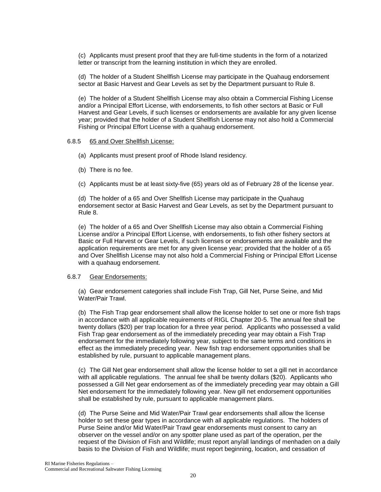(c) Applicants must present proof that they are full-time students in the form of a notarized letter or transcript from the learning institution in which they are enrolled.

(d) The holder of a Student Shellfish License may participate in the Quahaug endorsement sector at Basic Harvest and Gear Levels as set by the Department pursuant to Rule 8.

(e) The holder of a Student Shellfish License may also obtain a Commercial Fishing License and/or a Principal Effort License, with endorsements, to fish other sectors at Basic or Full Harvest and Gear Levels, if such licenses or endorsements are available for any given license year; provided that the holder of a Student Shellfish License may not also hold a Commercial Fishing or Principal Effort License with a quahaug endorsement.

#### 6.8.5 65 and Over Shellfish License:

- (a) Applicants must present proof of Rhode Island residency.
- (b) There is no fee.
- (c) Applicants must be at least sixty-five (65) years old as of February 28 of the license year.

(d) The holder of a 65 and Over Shellfish License may participate in the Quahaug endorsement sector at Basic Harvest and Gear Levels, as set by the Department pursuant to Rule 8.

(e) The holder of a 65 and Over Shellfish License may also obtain a Commercial Fishing License and/or a Principal Effort License, with endorsements, to fish other fishery sectors at Basic or Full Harvest or Gear Levels, if such licenses or endorsements are available and the application requirements are met for any given license year; provided that the holder of a 65 and Over Shellfish License may not also hold a Commercial Fishing or Principal Effort License with a quahaug endorsement.

#### 6.8.7 Gear Endorsements:

(a) Gear endorsement categories shall include Fish Trap, Gill Net, Purse Seine, and Mid Water/Pair Trawl.

(b) The Fish Trap gear endorsement shall allow the license holder to set one or more fish traps in accordance with all applicable requirements of RIGL Chapter 20-5. The annual fee shall be twenty dollars (\$20) per trap location for a three year period. Applicants who possessed a valid Fish Trap gear endorsement as of the immediately preceding year may obtain a Fish Trap endorsement for the immediately following year, subject to the same terms and conditions in effect as the immediately preceding year. New fish trap endorsement opportunities shall be established by rule, pursuant to applicable management plans.

(c) The Gill Net gear endorsement shall allow the license holder to set a gill net in accordance with all applicable regulations. The annual fee shall be twenty dollars (\$20). Applicants who possessed a Gill Net gear endorsement as of the immediately preceding year may obtain a Gill Net endorsement for the immediately following year. New gill net endorsement opportunities shall be established by rule, pursuant to applicable management plans.

(d) The Purse Seine and Mid Water/Pair Trawl gear endorsements shall allow the license holder to set these gear types in accordance with all applicable regulations. The holders of Purse Seine and/or Mid Water/Pair Trawl gear endorsements must consent to carry an observer on the vessel and/or on any spotter plane used as part of the operation, per the request of the Division of Fish and Wildlife; must report any/all landings of menhaden on a daily basis to the Division of Fish and Wildlife; must report beginning, location, and cessation of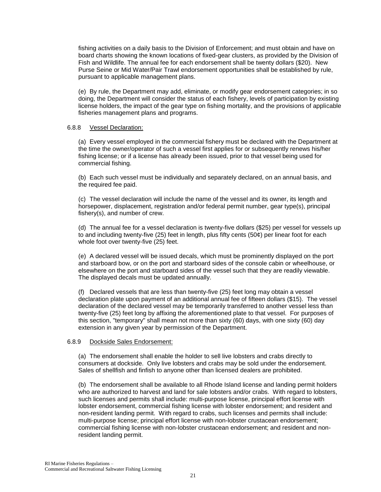fishing activities on a daily basis to the Division of Enforcement; and must obtain and have on board charts showing the known locations of fixed-gear clusters, as provided by the Division of Fish and Wildlife. The annual fee for each endorsement shall be twenty dollars (\$20). New Purse Seine or Mid Water/Pair Trawl endorsement opportunities shall be established by rule, pursuant to applicable management plans.

(e) By rule, the Department may add, eliminate, or modify gear endorsement categories; in so doing, the Department will consider the status of each fishery, levels of participation by existing license holders, the impact of the gear type on fishing mortality, and the provisions of applicable fisheries management plans and programs.

#### 6.8.8 Vessel Declaration:

(a) Every vessel employed in the commercial fishery must be declared with the Department at the time the owner/operator of such a vessel first applies for or subsequently renews his/her fishing license; or if a license has already been issued, prior to that vessel being used for commercial fishing.

(b) Each such vessel must be individually and separately declared, on an annual basis, and the required fee paid.

(c) The vessel declaration will include the name of the vessel and its owner, its length and horsepower, displacement, registration and/or federal permit number, gear type(s), principal fishery(s), and number of crew.

(d) The annual fee for a vessel declaration is twenty-five dollars (\$25) per vessel for vessels up to and including twenty-five (25) feet in length, plus fifty cents (50¢) per linear foot for each whole foot over twenty-five (25) feet.

(e) A declared vessel will be issued decals, which must be prominently displayed on the port and starboard bow, or on the port and starboard sides of the console cabin or wheelhouse, or elsewhere on the port and starboard sides of the vessel such that they are readily viewable. The displayed decals must be updated annually.

(f) Declared vessels that are less than twenty-five (25) feet long may obtain a vessel declaration plate upon payment of an additional annual fee of fifteen dollars (\$15). The vessel declaration of the declared vessel may be temporarily transferred to another vessel less than twenty-five (25) feet long by affixing the aforementioned plate to that vessel. For purposes of this section, "temporary" shall mean not more than sixty (60) days, with one sixty (60) day extension in any given year by permission of the Department.

## 6.8.9 Dockside Sales Endorsement:

(a) The endorsement shall enable the holder to sell live lobsters and crabs directly to consumers at dockside. Only live lobsters and crabs may be sold under the endorsement. Sales of shellfish and finfish to anyone other than licensed dealers are prohibited.

(b) The endorsement shall be available to all Rhode Island license and landing permit holders who are authorized to harvest and land for sale lobsters and/or crabs. With regard to lobsters, such licenses and permits shall include: multi-purpose license, principal effort license with lobster endorsement, commercial fishing license with lobster endorsement; and resident and non-resident landing permit. With regard to crabs, such licenses and permits shall include: multi-purpose license; principal effort license with non-lobster crustacean endorsement; commercial fishing license with non-lobster crustacean endorsement; and resident and nonresident landing permit.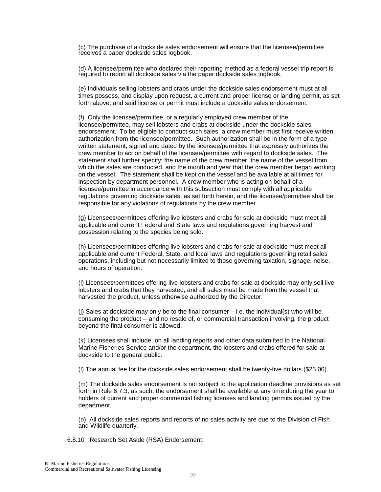(c) The purchase of a dockside sales endorsement will ensure that the licensee/permittee receives a paper dockside sales logbook.

(d) A licensee/permittee who declared their reporting method as a federal vessel trip report is required to report all dockside sales via the paper dockside sales logbook.

(e) Individuals selling lobsters and crabs under the dockside sales endorsement must at all times possess, and display upon request, a current and proper license or landing permit, as set forth above; and said license or permit must include a dockside sales endorsement.

(f) Only the licensee/permittee, or a regularly employed crew member of the licensee/permittee, may sell lobsters and crabs at dockside under the dockside sales endorsement. To be eligible to conduct such sales, a crew member must first receive written authorization from the licensee/permittee. Such authorization shall be in the form of a typewritten statement, signed and dated by the licensee/permittee that expressly authorizes the crew member to act on behalf of the licensee/permittee with regard to dockside sales. The statement shall further specify: the name of the crew member, the name of the vessel from which the sales are conducted, and the month and year that the crew member began working on the vessel. The statement shall be kept on the vessel and be available at all times for inspection by department personnel. A crew member who is acting on behalf of a licensee/permittee in accordance with this subsection must comply with all applicable regulations governing dockside sales, as set forth herein, and the licensee/permittee shall be responsible for any violations of regulations by the crew member.

(g) Licensees/permittees offering live lobsters and crabs for sale at dockside must meet all applicable and current Federal and State laws and regulations governing harvest and possession relating to the species being sold.

(h) Licensees/permittees offering live lobsters and crabs for sale at dockside must meet all applicable and current Federal, State, and local laws and regulations governing retail sales operations, including but not necessarily limited to those governing taxation, signage, noise, and hours of operation.

(i) Licensees/permittees offering live lobsters and crabs for sale at dockside may only sell live lobsters and crabs that they harvested, and all sales must be made from the vessel that harvested the product, unless otherwise authorized by the Director.

(i) Sales at dockside may only be to the final consumer  $-$  i.e. the individual(s) who will be consuming the product -- and no resale of, or commercial transaction involving, the product beyond the final consumer is allowed.

(k) Licensees shall include, on all landing reports and other data submitted to the National Marine Fisheries Service and/or the department, the lobsters and crabs offered for sale at dockside to the general public.

(l) The annual fee for the dockside sales endorsement shall be twenty-five dollars (\$25.00).

(m) The dockside sales endorsement is not subject to the application deadline provisions as set forth in Rule 6.7.3; as such, the endorsement shall be available at any time during the year to holders of current and proper commercial fishing licenses and landing permits issued by the department.

(n) All dockside sales reports and reports of no sales activity are due to the Division of Fish and Wildlife quarterly.

6.8.10 Research Set Aside (RSA) Endorsement: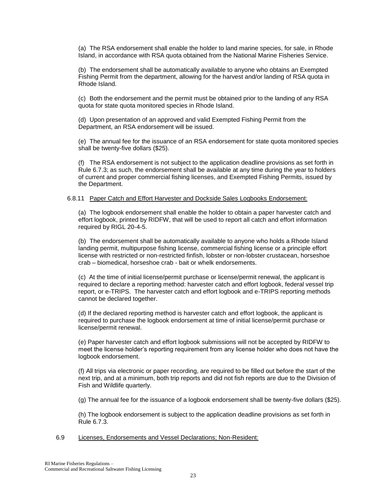(a) The RSA endorsement shall enable the holder to land marine species, for sale, in Rhode Island, in accordance with RSA quota obtained from the National Marine Fisheries Service.

(b) The endorsement shall be automatically available to anyone who obtains an Exempted Fishing Permit from the department, allowing for the harvest and/or landing of RSA quota in Rhode Island.

(c) Both the endorsement and the permit must be obtained prior to the landing of any RSA quota for state quota monitored species in Rhode Island.

(d) Upon presentation of an approved and valid Exempted Fishing Permit from the Department, an RSA endorsement will be issued.

(e) The annual fee for the issuance of an RSA endorsement for state quota monitored species shall be twenty-five dollars (\$25).

(f) The RSA endorsement is not subject to the application deadline provisions as set forth in Rule 6.7.3; as such, the endorsement shall be available at any time during the year to holders of current and proper commercial fishing licenses, and Exempted Fishing Permits, issued by the Department.

#### 6.8.11 Paper Catch and Effort Harvester and Dockside Sales Logbooks Endorsement:

(a) The logbook endorsement shall enable the holder to obtain a paper harvester catch and effort logbook, printed by RIDFW, that will be used to report all catch and effort information required by RIGL 20-4-5.

(b) The endorsement shall be automatically available to anyone who holds a Rhode Island landing permit, multipurpose fishing license, commercial fishing license or a principle effort license with restricted or non-restricted finfish, lobster or non-lobster crustacean, horseshoe crab – biomedical, horseshoe crab - bait or whelk endorsements.

(c) At the time of initial license/permit purchase or license/permit renewal, the applicant is required to declare a reporting method: harvester catch and effort logbook, federal vessel trip report, or e-TRIPS. The harvester catch and effort logbook and e-TRIPS reporting methods cannot be declared together.

(d) If the declared reporting method is harvester catch and effort logbook, the applicant is required to purchase the logbook endorsement at time of initial license/permit purchase or license/permit renewal.

(e) Paper harvester catch and effort logbook submissions will not be accepted by RIDFW to meet the license holder's reporting requirement from any license holder who does not have the logbook endorsement.

(f) All trips via electronic or paper recording, are required to be filled out before the start of the next trip, and at a minimum, both trip reports and did not fish reports are due to the Division of Fish and Wildlife quarterly.

(g) The annual fee for the issuance of a logbook endorsement shall be twenty-five dollars (\$25).

(h) The logbook endorsement is subject to the application deadline provisions as set forth in Rule 6.7.3.

6.9 Licenses, Endorsements and Vessel Declarations; Non-Resident: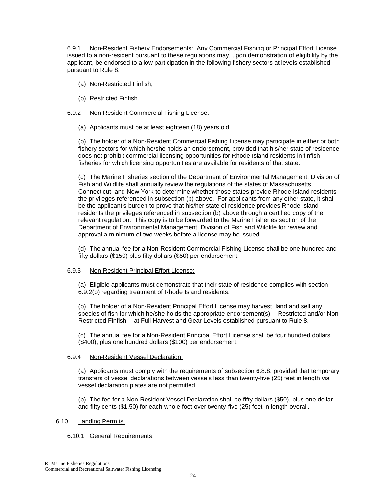6.9.1 Non-Resident Fishery Endorsements: Any Commercial Fishing or Principal Effort License issued to a non-resident pursuant to these regulations may, upon demonstration of eligibility by the applicant, be endorsed to allow participation in the following fishery sectors at levels established pursuant to Rule 8:

- (a) Non-Restricted Finfish;
- (b) Restricted Finfish.

## 6.9.2 Non-Resident Commercial Fishing License:

(a) Applicants must be at least eighteen (18) years old.

(b) The holder of a Non-Resident Commercial Fishing License may participate in either or both fishery sectors for which he/she holds an endorsement, provided that his/her state of residence does not prohibit commercial licensing opportunities for Rhode Island residents in finfish fisheries for which licensing opportunities are available for residents of that state.

(c) The Marine Fisheries section of the Department of Environmental Management, Division of Fish and Wildlife shall annually review the regulations of the states of Massachusetts, Connecticut, and New York to determine whether those states provide Rhode Island residents the privileges referenced in subsection (b) above. For applicants from any other state, it shall be the applicant's burden to prove that his/her state of residence provides Rhode Island residents the privileges referenced in subsection (b) above through a certified copy of the relevant regulation. This copy is to be forwarded to the Marine Fisheries section of the Department of Environmental Management, Division of Fish and Wildlife for review and approval a minimum of two weeks before a license may be issued.

(d) The annual fee for a Non-Resident Commercial Fishing License shall be one hundred and fifty dollars (\$150) plus fifty dollars (\$50) per endorsement.

## 6.9.3 Non-Resident Principal Effort License:

(a) Eligible applicants must demonstrate that their state of residence complies with section 6.9.2(b) regarding treatment of Rhode Island residents.

(b) The holder of a Non-Resident Principal Effort License may harvest, land and sell any species of fish for which he/she holds the appropriate endorsement(s) -- Restricted and/or Non-Restricted Finfish -- at Full Harvest and Gear Levels established pursuant to Rule 8.

(c) The annual fee for a Non-Resident Principal Effort License shall be four hundred dollars (\$400), plus one hundred dollars (\$100) per endorsement.

## 6.9.4 Non-Resident Vessel Declaration:

(a) Applicants must comply with the requirements of subsection 6.8.8, provided that temporary transfers of vessel declarations between vessels less than twenty-five (25) feet in length via vessel declaration plates are not permitted.

(b) The fee for a Non-Resident Vessel Declaration shall be fifty dollars (\$50), plus one dollar and fifty cents (\$1.50) for each whole foot over twenty-five (25) feet in length overall.

## 6.10 Landing Permits:

## 6.10.1 General Requirements: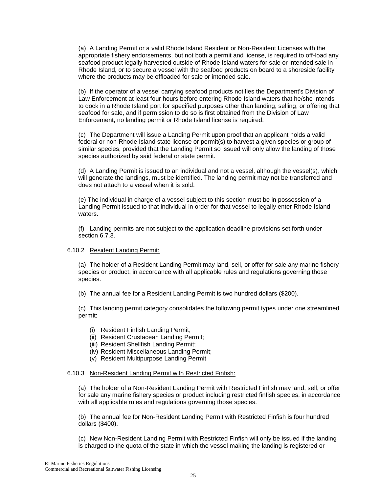(a) A Landing Permit or a valid Rhode Island Resident or Non-Resident Licenses with the appropriate fishery endorsements, but not both a permit and license, is required to off-load any seafood product legally harvested outside of Rhode Island waters for sale or intended sale in Rhode Island, or to secure a vessel with the seafood products on board to a shoreside facility where the products may be offloaded for sale or intended sale.

(b) If the operator of a vessel carrying seafood products notifies the Department's Division of Law Enforcement at least four hours before entering Rhode Island waters that he/she intends to dock in a Rhode Island port for specified purposes other than landing, selling, or offering that seafood for sale, and if permission to do so is first obtained from the Division of Law Enforcement, no landing permit or Rhode Island license is required.

(c) The Department will issue a Landing Permit upon proof that an applicant holds a valid federal or non-Rhode Island state license or permit(s) to harvest a given species or group of similar species, provided that the Landing Permit so issued will only allow the landing of those species authorized by said federal or state permit.

(d) A Landing Permit is issued to an individual and not a vessel, although the vessel(s), which will generate the landings, must be identified. The landing permit may not be transferred and does not attach to a vessel when it is sold.

(e) The individual in charge of a vessel subject to this section must be in possession of a Landing Permit issued to that individual in order for that vessel to legally enter Rhode Island waters.

(f) Landing permits are not subject to the application deadline provisions set forth under section 6.7.3.

## 6.10.2 Resident Landing Permit:

(a) The holder of a Resident Landing Permit may land, sell, or offer for sale any marine fishery species or product, in accordance with all applicable rules and regulations governing those species.

(b) The annual fee for a Resident Landing Permit is two hundred dollars (\$200).

(c) This landing permit category consolidates the following permit types under one streamlined permit:

- (i) Resident Finfish Landing Permit;
- (ii) Resident Crustacean Landing Permit;
- (iii) Resident Shellfish Landing Permit;
- (iv) Resident Miscellaneous Landing Permit;
- (v) Resident Multipurpose Landing Permit

## 6.10.3 Non-Resident Landing Permit with Restricted Finfish:

(a) The holder of a Non-Resident Landing Permit with Restricted Finfish may land, sell, or offer for sale any marine fishery species or product including restricted finfish species, in accordance with all applicable rules and regulations governing those species.

(b) The annual fee for Non-Resident Landing Permit with Restricted Finfish is four hundred dollars (\$400).

(c) New Non-Resident Landing Permit with Restricted Finfish will only be issued if the landing is charged to the quota of the state in which the vessel making the landing is registered or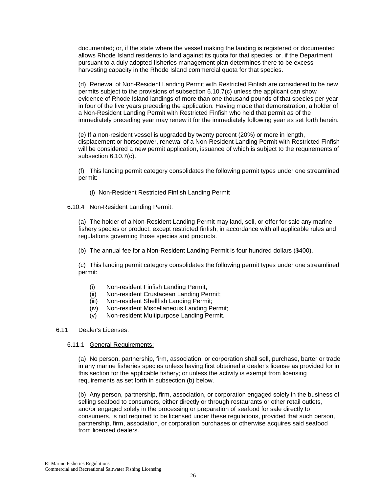documented; or, if the state where the vessel making the landing is registered or documented allows Rhode Island residents to land against its quota for that species; or, if the Department pursuant to a duly adopted fisheries management plan determines there to be excess harvesting capacity in the Rhode Island commercial quota for that species.

(d) Renewal of Non-Resident Landing Permit with Restricted Finfish are considered to be new permits subject to the provisions of subsection 6.10.7(c) unless the applicant can show evidence of Rhode Island landings of more than one thousand pounds of that species per year in four of the five years preceding the application. Having made that demonstration, a holder of a Non-Resident Landing Permit with Restricted Finfish who held that permit as of the immediately preceding year may renew it for the immediately following year as set forth herein.

(e) If a non-resident vessel is upgraded by twenty percent (20%) or more in length, displacement or horsepower, renewal of a Non-Resident Landing Permit with Restricted Finfish will be considered a new permit application, issuance of which is subject to the requirements of subsection 6.10.7(c).

(f) This landing permit category consolidates the following permit types under one streamlined permit:

(i) Non-Resident Restricted Finfish Landing Permit

## 6.10.4 Non-Resident Landing Permit:

(a) The holder of a Non-Resident Landing Permit may land, sell, or offer for sale any marine fishery species or product, except restricted finfish, in accordance with all applicable rules and regulations governing those species and products.

(b) The annual fee for a Non-Resident Landing Permit is four hundred dollars (\$400).

(c) This landing permit category consolidates the following permit types under one streamlined permit:

- (i) Non-resident Finfish Landing Permit;
- (ii) Non-resident Crustacean Landing Permit;
- (iii) Non-resident Shellfish Landing Permit;
- (iv) Non-resident Miscellaneous Landing Permit;
- (v) Non-resident Multipurpose Landing Permit.

## 6.11 Dealer's Licenses:

## 6.11.1 General Requirements:

(a) No person, partnership, firm, association, or corporation shall sell, purchase, barter or trade in any marine fisheries species unless having first obtained a dealer's license as provided for in this section for the applicable fishery; or unless the activity is exempt from licensing requirements as set forth in subsection (b) below.

(b) Any person, partnership, firm, association, or corporation engaged solely in the business of selling seafood to consumers, either directly or through restaurants or other retail outlets, and/or engaged solely in the processing or preparation of seafood for sale directly to consumers, is not required to be licensed under these regulations, provided that such person, partnership, firm, association, or corporation purchases or otherwise acquires said seafood from licensed dealers.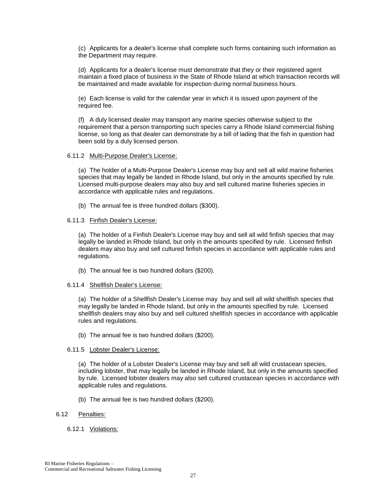(c) Applicants for a dealer's license shall complete such forms containing such information as the Department may require.

(d) Applicants for a dealer's license must demonstrate that they or their registered agent maintain a fixed place of business in the State of Rhode Island at which transaction records will be maintained and made available for inspection during normal business hours.

(e) Each license is valid for the calendar year in which it is issued upon payment of the required fee.

(f) A duly licensed dealer may transport any marine species otherwise subject to the requirement that a person transporting such species carry a Rhode Island commercial fishing license, so long as that dealer can demonstrate by a bill of lading that the fish in question had been sold by a duly licensed person.

#### 6.11.2 Multi-Purpose Dealer's License:

(a) The holder of a Multi-Purpose Dealer's License may buy and sell all wild marine fisheries species that may legally be landed in Rhode Island, but only in the amounts specified by rule. Licensed multi-purpose dealers may also buy and sell cultured marine fisheries species in accordance with applicable rules and regulations.

(b) The annual fee is three hundred dollars (\$300).

## 6.11.3 Finfish Dealer's License:

(a) The holder of a Finfish Dealer's License may buy and sell all wild finfish species that may legally be landed in Rhode Island, but only in the amounts specified by rule. Licensed finfish dealers may also buy and sell cultured finfish species in accordance with applicable rules and regulations.

(b) The annual fee is two hundred dollars (\$200).

#### 6.11.4 Shellfish Dealer's License:

(a) The holder of a Shellfish Dealer's License may buy and sell all wild shellfish species that may legally be landed in Rhode Island, but only in the amounts specified by rule. Licensed shellfish dealers may also buy and sell cultured shellfish species in accordance with applicable rules and regulations.

(b) The annual fee is two hundred dollars (\$200).

#### 6.11.5 Lobster Dealer's License:

(a) The holder of a Lobster Dealer's License may buy and sell all wild crustacean species, including lobster, that may legally be landed in Rhode Island, but only in the amounts specified by rule. Licensed lobster dealers may also sell cultured crustacean species in accordance with applicable rules and regulations.

(b) The annual fee is two hundred dollars (\$200).

## 6.12 Penalties:

## 6.12.1 Violations: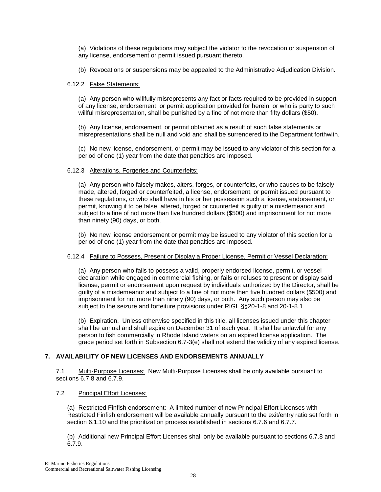(a) Violations of these regulations may subject the violator to the revocation or suspension of any license, endorsement or permit issued pursuant thereto.

(b) Revocations or suspensions may be appealed to the Administrative Adjudication Division.

## 6.12.2 False Statements:

(a) Any person who willfully misrepresents any fact or facts required to be provided in support of any license, endorsement, or permit application provided for herein, or who is party to such willful misrepresentation, shall be punished by a fine of not more than fifty dollars (\$50).

(b) Any license, endorsement, or permit obtained as a result of such false statements or misrepresentations shall be null and void and shall be surrendered to the Department forthwith.

(c) No new license, endorsement, or permit may be issued to any violator of this section for a period of one (1) year from the date that penalties are imposed.

## 6.12.3 Alterations, Forgeries and Counterfeits:

(a) Any person who falsely makes, alters, forges, or counterfeits, or who causes to be falsely made, altered, forged or counterfeited, a license, endorsement, or permit issued pursuant to these regulations, or who shall have in his or her possession such a license, endorsement, or permit, knowing it to be false, altered, forged or counterfeit is guilty of a misdemeanor and subject to a fine of not more than five hundred dollars (\$500) and imprisonment for not more than ninety (90) days, or both.

(b) No new license endorsement or permit may be issued to any violator of this section for a period of one (1) year from the date that penalties are imposed.

## 6.12.4 Failure to Possess, Present or Display a Proper License, Permit or Vessel Declaration:

(a) Any person who fails to possess a valid, properly endorsed license, permit, or vessel declaration while engaged in commercial fishing, or fails or refuses to present or display said license, permit or endorsement upon request by individuals authorized by the Director, shall be guilty of a misdemeanor and subject to a fine of not more then five hundred dollars (\$500) and imprisonment for not more than ninety (90) days, or both. Any such person may also be subject to the seizure and forfeiture provisions under RIGL §§20-1-8 and 20-1-8.1.

(b) Expiration. Unless otherwise specified in this title, all licenses issued under this chapter shall be annual and shall expire on December 31 of each year. It shall be unlawful for any person to fish commercially in Rhode Island waters on an expired license application. The grace period set forth in Subsection 6.7-3(e) shall not extend the validity of any expired license.

## **7. AVAILABILITY OF NEW LICENSES AND ENDORSEMENTS ANNUALLY**

7.1 Multi-Purpose Licenses: New Multi-Purpose Licenses shall be only available pursuant to sections 6.7.8 and 6.7.9.

## 7.2 Principal Effort Licenses:

(a) Restricted Finfish endorsement: A limited number of new Principal Effort Licenses with Restricted Finfish endorsement will be available annually pursuant to the exit/entry ratio set forth in section 6.1.10 and the prioritization process established in sections 6.7.6 and 6.7.7.

(b) Additional new Principal Effort Licenses shall only be available pursuant to sections 6.7.8 and 6.7.9.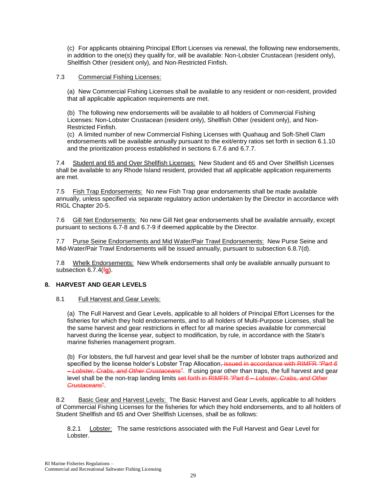(c) For applicants obtaining Principal Effort Licenses via renewal, the following new endorsements, in addition to the one(s) they qualify for, will be available: Non-Lobster Crustacean (resident only), Shellfish Other (resident only), and Non-Restricted Finfish.

## 7.3 Commercial Fishing Licenses:

(a) New Commercial Fishing Licenses shall be available to any resident or non-resident, provided that all applicable application requirements are met.

(b) The following new endorsements will be available to all holders of Commercial Fishing Licenses: Non-Lobster Crustacean (resident only), Shellfish Other (resident only), and Non-Restricted Finfish.

(c) A limited number of new Commercial Fishing Licenses with Quahaug and Soft-Shell Clam endorsements will be available annually pursuant to the exit/entry ratios set forth in section 6.1.10 and the prioritization process established in sections 6.7.6 and 6.7.7.

7.4 Student and 65 and Over Shellfish Licenses: New Student and 65 and Over Shellfish Licenses shall be available to any Rhode Island resident, provided that all applicable application requirements are met.

7.5 Fish Trap Endorsements: No new Fish Trap gear endorsements shall be made available annually, unless specified via separate regulatory action undertaken by the Director in accordance with RIGL Chapter 20-5.

7.6 Gill Net Endorsements: No new Gill Net gear endorsements shall be available annually, except pursuant to sections 6.7-8 and 6.7-9 if deemed applicable by the Director.

7.7 Purse Seine Endorsements and Mid Water/Pair Trawl Endorsements: New Purse Seine and Mid-Water/Pair Trawl Endorsements will be issued annually, pursuant to subsection 6.8.7(d).

7.8 Whelk Endorsements: New Whelk endorsements shall only be available annually pursuant to subsection 6.7.4(f**g**).

## **8. HARVEST AND GEAR LEVELS**

## 8.1 Full Harvest and Gear Levels:

(a) The Full Harvest and Gear Levels, applicable to all holders of Principal Effort Licenses for the fisheries for which they hold endorsements, and to all holders of Multi-Purpose Licenses, shall be the same harvest and gear restrictions in effect for all marine species available for commercial harvest during the license year, subject to modification, by rule, in accordance with the State's marine fisheries management program.

(b) For lobsters, the full harvest and gear level shall be the number of lobster traps authorized and specified by the license holder's Lobster Trap Allocation<del>, issued in accordance with RIMFR *"Part 6*</del> *– Lobster, Crabs, and Other Crustaceans*". If using gear other than traps, the full harvest and gear level shall be the non-trap landing limits set forth in RIMFR *"Part 6 – Lobster, Crabs, and Other Crustaceans*".

8.2 Basic Gear and Harvest Levels: The Basic Harvest and Gear Levels, applicable to all holders of Commercial Fishing Licenses for the fisheries for which they hold endorsements, and to all holders of Student Shellfish and 65 and Over Shellfish Licenses, shall be as follows:

8.2.1 Lobster: The same restrictions associated with the Full Harvest and Gear Level for Lobster.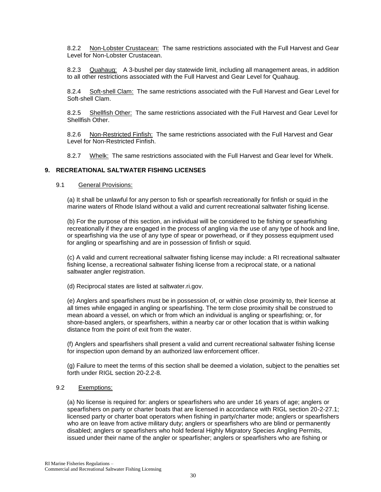8.2.2 Non-Lobster Crustacean: The same restrictions associated with the Full Harvest and Gear Level for Non-Lobster Crustacean.

8.2.3 Quahaug: A 3-bushel per day statewide limit, including all management areas, in addition to all other restrictions associated with the Full Harvest and Gear Level for Quahaug.

8.2.4 Soft-shell Clam: The same restrictions associated with the Full Harvest and Gear Level for Soft-shell Clam.

8.2.5 Shellfish Other: The same restrictions associated with the Full Harvest and Gear Level for Shellfish Other.

8.2.6 Non-Restricted Finfish: The same restrictions associated with the Full Harvest and Gear Level for Non-Restricted Finfish.

8.2.7 Whelk: The same restrictions associated with the Full Harvest and Gear level for Whelk.

## **9. RECREATIONAL SALTWATER FISHING LICENSES**

#### 9.1 General Provisions:

(a) It shall be unlawful for any person to fish or spearfish recreationally for finfish or squid in the marine waters of Rhode Island without a valid and current recreational saltwater fishing license.

(b) For the purpose of this section, an individual will be considered to be fishing or spearfishing recreationally if they are engaged in the process of angling via the use of any type of hook and line, or spearfishing via the use of any type of spear or powerhead, or if they possess equipment used for angling or spearfishing and are in possession of finfish or squid.

(c) A valid and current recreational saltwater fishing license may include: a RI recreational saltwater fishing license, a recreational saltwater fishing license from a reciprocal state, or a national saltwater angler registration.

(d) Reciprocal states are listed at saltwater.ri.gov.

(e) Anglers and spearfishers must be in possession of, or within close proximity to, their license at all times while engaged in angling or spearfishing. The term close proximity shall be construed to mean aboard a vessel, on which or from which an individual is angling or spearfishing; or, for shore-based anglers, or spearfishers, within a nearby car or other location that is within walking distance from the point of exit from the water.

(f) Anglers and spearfishers shall present a valid and current recreational saltwater fishing license for inspection upon demand by an authorized law enforcement officer.

(g) Failure to meet the terms of this section shall be deemed a violation, subject to the penalties set forth under RIGL section 20-2.2-8.

## 9.2 Exemptions:

(a) No license is required for: anglers or spearfishers who are under 16 years of age; anglers or spearfishers on party or charter boats that are licensed in accordance with RIGL section 20-2-27.1; licensed party or charter boat operators when fishing in party/charter mode; anglers or spearfishers who are on leave from active military duty; anglers or spearfishers who are blind or permanently disabled; anglers or spearfishers who hold federal Highly Migratory Species Angling Permits, issued under their name of the angler or spearfisher; anglers or spearfishers who are fishing or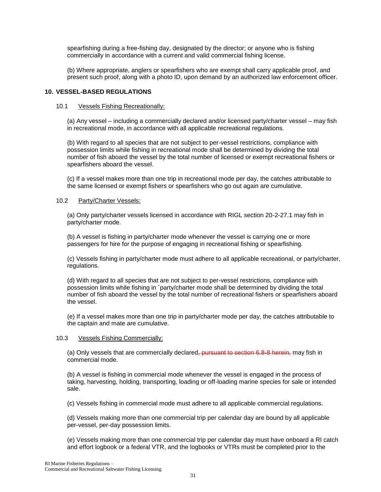spearfishing during a free-fishing day, designated by the director; or anyone who is fishing commercially in accordance with a current and valid commercial fishing license.

(b) Where appropriate, anglers or spearfishers who are exempt shall carry applicable proof, and present such proof, along with a photo ID, upon demand by an authorized law enforcement officer.

## **10. VESSEL-BASED REGULATIONS**

## 10.1 Vessels Fishing Recreationally:

(a) Any vessel – including a commercially declared and/or licensed party/charter vessel – may fish in recreational mode, in accordance with all applicable recreational regulations.

(b) With regard to all species that are not subject to per-vessel restrictions, compliance with possession limits while fishing in recreational mode shall be determined by dividing the total number of fish aboard the vessel by the total number of licensed or exempt recreational fishers or spearfishers aboard the vessel.

(c) If a vessel makes more than one trip in recreational mode per day, the catches attributable to the same licensed or exempt fishers or spearfishers who go out again are cumulative.

## 10.2 Party/Charter Vessels:

(a) Only party/charter vessels licensed in accordance with RIGL section 20-2-27.1 may fish in party/charter mode.

(b) A vessel is fishing in party/charter mode whenever the vessel is carrying one or more passengers for hire for the purpose of engaging in recreational fishing or spearfishing.

(c) Vessels fishing in party/charter mode must adhere to all applicable recreational, or party/charter, regulations.

(d) With regard to all species that are not subject to per-vessel restrictions, compliance with possession limits while fishing in `party/charter mode shall be determined by dividing the total number of fish aboard the vessel by the total number of recreational fishers or spearfishers aboard the vessel.

(e) If a vessel makes more than one trip in party/charter mode per day, the catches attributable to the captain and mate are cumulative.

## 10.3 Vessels Fishing Commercially:

(a) Only vessels that are commercially declared, pursuant to section 6.8-8 herein, may fish in commercial mode.

(b) A vessel is fishing in commercial mode whenever the vessel is engaged in the process of taking, harvesting, holding, transporting, loading or off-loading marine species for sale or intended sale.

(c) Vessels fishing in commercial mode must adhere to all applicable commercial regulations.

(d) Vessels making more than one commercial trip per calendar day are bound by all applicable per-vessel, per-day possession limits.

(e) Vessels making more than one commercial trip per calendar day must have onboard a RI catch and effort logbook or a federal VTR, and the logbooks or VTRs must be completed prior to the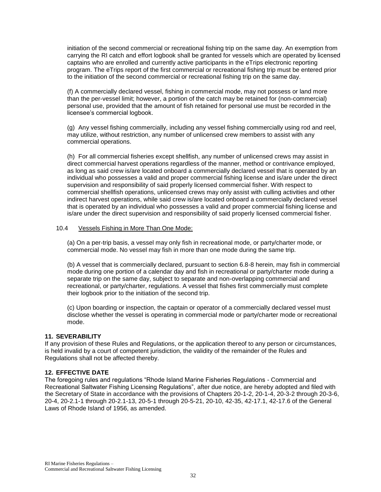initiation of the second commercial or recreational fishing trip on the same day. An exemption from carrying the RI catch and effort logbook shall be granted for vessels which are operated by licensed captains who are enrolled and currently active participants in the eTrips electronic reporting program. The eTrips report of the first commercial or recreational fishing trip must be entered prior to the initiation of the second commercial or recreational fishing trip on the same day.

(f) A commercially declared vessel, fishing in commercial mode, may not possess or land more than the per-vessel limit; however, a portion of the catch may be retained for (non-commercial) personal use, provided that the amount of fish retained for personal use must be recorded in the licensee's commercial logbook.

(g) Any vessel fishing commercially, including any vessel fishing commercially using rod and reel, may utilize, without restriction, any number of unlicensed crew members to assist with any commercial operations.

(h) For all commercial fisheries except shellfish, any number of unlicensed crews may assist in direct commercial harvest operations regardless of the manner, method or contrivance employed, as long as said crew is/are located onboard a commercially declared vessel that is operated by an individual who possesses a valid and proper commercial fishing license and is/are under the direct supervision and responsibility of said properly licensed commercial fisher. With respect to commercial shellfish operations, unlicensed crews may only assist with culling activities and other indirect harvest operations, while said crew is/are located onboard a commercially declared vessel that is operated by an individual who possesses a valid and proper commercial fishing license and is/are under the direct supervision and responsibility of said properly licensed commercial fisher.

## 10.4 Vessels Fishing in More Than One Mode:

(a) On a per-trip basis, a vessel may only fish in recreational mode, or party/charter mode, or commercial mode. No vessel may fish in more than one mode during the same trip.

(b) A vessel that is commercially declared, pursuant to section 6.8-8 herein, may fish in commercial mode during one portion of a calendar day and fish in recreational or party/charter mode during a separate trip on the same day, subject to separate and non-overlapping commercial and recreational, or party/charter, regulations. A vessel that fishes first commercially must complete their logbook prior to the initiation of the second trip.

(c) Upon boarding or inspection, the captain or operator of a commercially declared vessel must disclose whether the vessel is operating in commercial mode or party/charter mode or recreational mode.

## **11. SEVERABILITY**

If any provision of these Rules and Regulations, or the application thereof to any person or circumstances, is held invalid by a court of competent jurisdiction, the validity of the remainder of the Rules and Regulations shall not be affected thereby.

## **12. EFFECTIVE DATE**

The foregoing rules and regulations "Rhode Island Marine Fisheries Regulations - Commercial and Recreational Saltwater Fishing Licensing Regulations", after due notice, are hereby adopted and filed with the Secretary of State in accordance with the provisions of Chapters 20-1-2, 20-1-4, 20-3-2 through 20-3-6, 20-4, 20-2.1-1 through 20-2.1-13, 20-5-1 through 20-5-21, 20-10, 42-35, 42-17.1, 42-17.6 of the General Laws of Rhode Island of 1956, as amended.